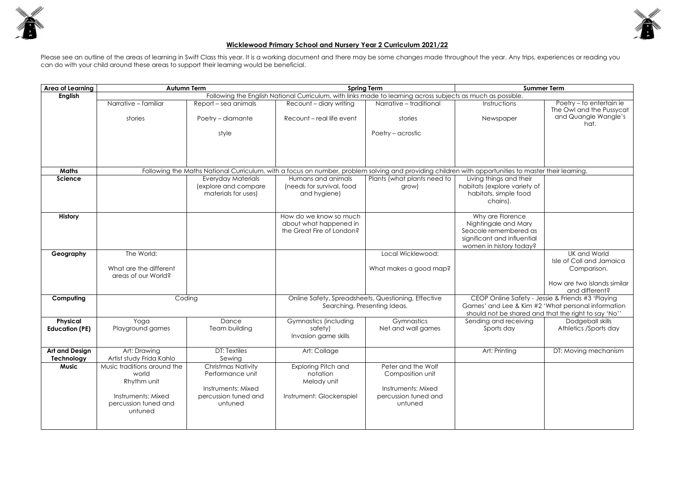

## **Wicklewood Primary School and Nursery Year 2 Curriculum 2021/22**

Please see an outline of the areas of learning in Swift Class this year. It is a working document and there may be some changes made throughout the year. Any trips, experiences or reading you can do with your child around these areas to support their learning would be beneficial.

| <b>Summer Term</b>                                                                                                          |                                                      |  |  |  |  |  |
|-----------------------------------------------------------------------------------------------------------------------------|------------------------------------------------------|--|--|--|--|--|
| as much as possible.                                                                                                        |                                                      |  |  |  |  |  |
| Instructions                                                                                                                | Poetry - to entertain ie<br>The Owl and the Pussycat |  |  |  |  |  |
| Newspaper                                                                                                                   | and Quangle Wangle's<br>hat.                         |  |  |  |  |  |
|                                                                                                                             |                                                      |  |  |  |  |  |
|                                                                                                                             |                                                      |  |  |  |  |  |
| with opportunities to master their learning.                                                                                |                                                      |  |  |  |  |  |
| Living things and their<br>abitats (explore variety of<br>habitats, simple food<br>chains).                                 |                                                      |  |  |  |  |  |
|                                                                                                                             |                                                      |  |  |  |  |  |
| Why are Florence<br>Nightingale and Mary<br>Seacole remembered as<br>significant and influential<br>women in history today? |                                                      |  |  |  |  |  |
|                                                                                                                             | UK and World                                         |  |  |  |  |  |
|                                                                                                                             | Isle of Coll and Jamaica<br>Comparison.              |  |  |  |  |  |
|                                                                                                                             | How are two islands similar<br>and different?        |  |  |  |  |  |
| CEOP Online Safety - Jessie & Friends #3 'Playing                                                                           |                                                      |  |  |  |  |  |
| Games' and Lee & Kim #2 'What personal information<br>should not be shared and that the right to say 'No''                  |                                                      |  |  |  |  |  |
| Sending and receiving                                                                                                       | Dodgeball skills                                     |  |  |  |  |  |
| Sports day                                                                                                                  | Athletics /Sports day                                |  |  |  |  |  |
| Art: Printing                                                                                                               | DT: Moving mechanism                                 |  |  |  |  |  |
|                                                                                                                             |                                                      |  |  |  |  |  |

| <b>Area of Learning</b> | <b>Autumn Term</b>                                                                                          |                                             | <b>Spring Term</b>                                                                                                                                   |                             | <b>Summer Term</b>                                                                                         |                                                     |
|-------------------------|-------------------------------------------------------------------------------------------------------------|---------------------------------------------|------------------------------------------------------------------------------------------------------------------------------------------------------|-----------------------------|------------------------------------------------------------------------------------------------------------|-----------------------------------------------------|
| <b>English</b>          | Following the English National Curriculum, with links made to learning across subjects as much as possible. |                                             |                                                                                                                                                      |                             |                                                                                                            |                                                     |
|                         | Narrative - familiar                                                                                        | Report – sea animals                        | Recount - diary writing                                                                                                                              | Narrative - traditional     | Instructions                                                                                               | Poetry - to entertain ie<br>The Owl and the Pussyco |
|                         | stories                                                                                                     | Poetry - diamante                           | Recount - real life event                                                                                                                            | stories                     | Newspaper                                                                                                  | and Quangle Wangle's<br>hat.                        |
|                         |                                                                                                             | style                                       |                                                                                                                                                      | Poetry – acrostic           |                                                                                                            |                                                     |
|                         |                                                                                                             |                                             |                                                                                                                                                      |                             |                                                                                                            |                                                     |
| <b>Maths</b>            |                                                                                                             |                                             | Following the Maths National Curriculum, with a focus on number, problem solving and providing children with opportunities to master their learning. |                             |                                                                                                            |                                                     |
| <b>Science</b>          |                                                                                                             | <b>Everyday Materials</b>                   | Humans and animals                                                                                                                                   | Plants (what plants need to | Living things and their                                                                                    |                                                     |
|                         |                                                                                                             | (explore and compare<br>materials for uses) | (needs for survival, food<br>and hygiene)                                                                                                            | grow)                       | habitats (explore variety of<br>habitats, simple food<br>chains).                                          |                                                     |
|                         |                                                                                                             |                                             |                                                                                                                                                      |                             |                                                                                                            |                                                     |
| <b>History</b>          |                                                                                                             |                                             | How do we know so much                                                                                                                               |                             | Why are Florence                                                                                           |                                                     |
|                         |                                                                                                             |                                             | about what happened in                                                                                                                               |                             | Nightingale and Mary                                                                                       |                                                     |
|                         |                                                                                                             |                                             | the Great Fire of London?                                                                                                                            |                             | Seacole remembered as                                                                                      |                                                     |
|                         |                                                                                                             |                                             |                                                                                                                                                      |                             | significant and influential<br>women in history today?                                                     |                                                     |
| Geography               | The World:                                                                                                  |                                             |                                                                                                                                                      | Local Wicklewood:           |                                                                                                            | UK and World                                        |
|                         |                                                                                                             |                                             |                                                                                                                                                      |                             |                                                                                                            | Isle of Coll and Jamaica                            |
|                         | What are the different<br>areas of our World?                                                               |                                             |                                                                                                                                                      | What makes a good map?      |                                                                                                            | Comparison.                                         |
|                         |                                                                                                             |                                             |                                                                                                                                                      |                             |                                                                                                            | How are two islands simile<br>and different?        |
| Computing               |                                                                                                             | Coding                                      | Online Safety, Spreadsheets, Questioning, Effective                                                                                                  |                             | CEOP Online Safety - Jessie & Friends #3 'Playing                                                          |                                                     |
|                         |                                                                                                             |                                             | Searching, Presenting Ideas.                                                                                                                         |                             | Games' and Lee & Kim #2 'What personal information<br>should not be shared and that the right to say 'No'' |                                                     |
| <b>Physical</b>         | Yoga                                                                                                        | Dance                                       | Gymnastics (including                                                                                                                                | Gymnastics                  | Sending and receiving                                                                                      | Dodgeball skills                                    |
| <b>Education (PE)</b>   | Playground games                                                                                            | Team building                               | safety)                                                                                                                                              | Net and wall games          | Sports day                                                                                                 | Athletics /Sports day                               |
|                         |                                                                                                             |                                             | Invasion game skills                                                                                                                                 |                             |                                                                                                            |                                                     |
| <b>Art and Design</b>   | Art: Drawing                                                                                                | <b>DT: Textiles</b>                         | Art: Collage                                                                                                                                         |                             | Art: Printing                                                                                              | DT: Moving mechanism                                |
| Technology              | Artist study Frida Kahlo                                                                                    | Sewing                                      |                                                                                                                                                      |                             |                                                                                                            |                                                     |
| <b>Music</b>            | Music traditions around the                                                                                 | <b>Christmas Nativity</b>                   | Exploring Pitch and                                                                                                                                  | Peter and the Wolf          |                                                                                                            |                                                     |
|                         | world                                                                                                       | Performance unit                            | notation                                                                                                                                             | Composition unit            |                                                                                                            |                                                     |
|                         | Rhythm unit                                                                                                 | Instruments: Mixed                          | Melody unit                                                                                                                                          | Instruments: Mixed          |                                                                                                            |                                                     |
|                         | Instruments: Mixed                                                                                          | percussion tuned and                        | Instrument: Glockenspiel                                                                                                                             | percussion tuned and        |                                                                                                            |                                                     |
|                         | percussion tuned and<br>untuned                                                                             | untuned                                     |                                                                                                                                                      | untuned                     |                                                                                                            |                                                     |
|                         |                                                                                                             |                                             |                                                                                                                                                      |                             |                                                                                                            |                                                     |